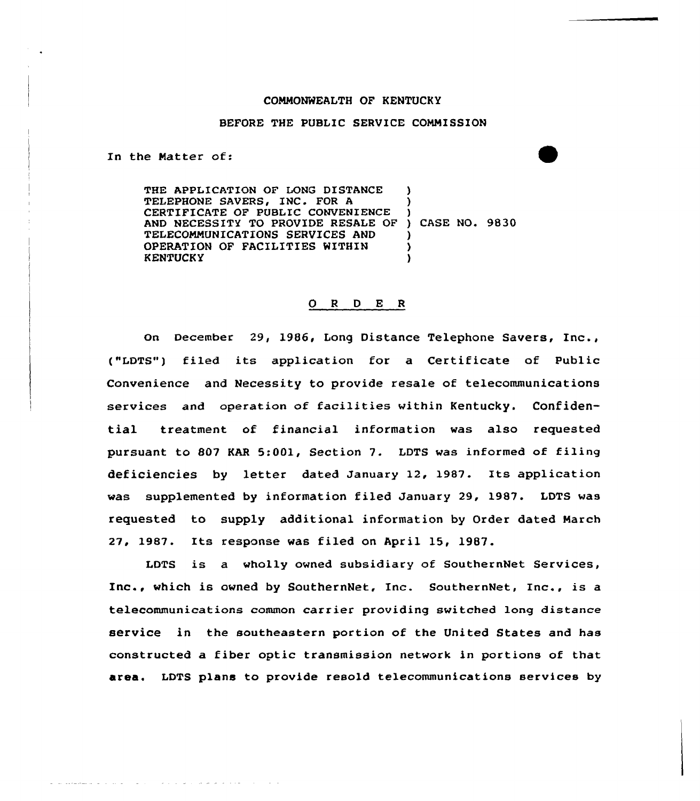#### COMMONWEALTH OF KENTUCKY

## BEFORE THE PUBLIC SERVICE COMMISSION

In the Natter of:

المتعاط المتحاجات والمتاريخ والمتار

THE APPLICATION OF LONG DISTANCE TELEPHONE SAVERS, INC. FOR A CERTIFICATE OF PUBLIC CONVENIENCE CERTIFICATE OF PUBLIC CONVENIENCE )<br>AND NECESSITY TO PROVIDE RESALE OF ) CASE NO. 9830 TELECOMMUNICATIONS SERVICES AND OPERATION OF FACILITIES WITHIN KENTUCKY ) ) ) )

#### ORDER

On December 29, 1986, Kong Distance Telephone Savers, Inc., ("LOTS") filed its application for a Certificate of Public Convenience and Necessity to provide resale of telecommunications services and operation of facilities within Kentucky. Confidential treatment of financial information was also requested pursuant to 807 KAR 5:001, Section 7. LDTS was informed of filing deficiencies by letter dated January 12, 1987. Its application was supplemented by information filed January 29, 1987. LDTS was requested to supply additional infcrmation by Order dated March 27, 1987. Its response was filed on April l5, 1987.

LDTS is a wholly owned subsidiary of SouthernNet Services, Inc., which is owned by SouthernNet, Inc. SouthernNet, Inc., is a telecommunications common carrier providing switched long distance service in the southeastern portion of the United States and has constructed a fiber optic transmission network in portions of that area. LDTS plans to provide resold telecommunications services by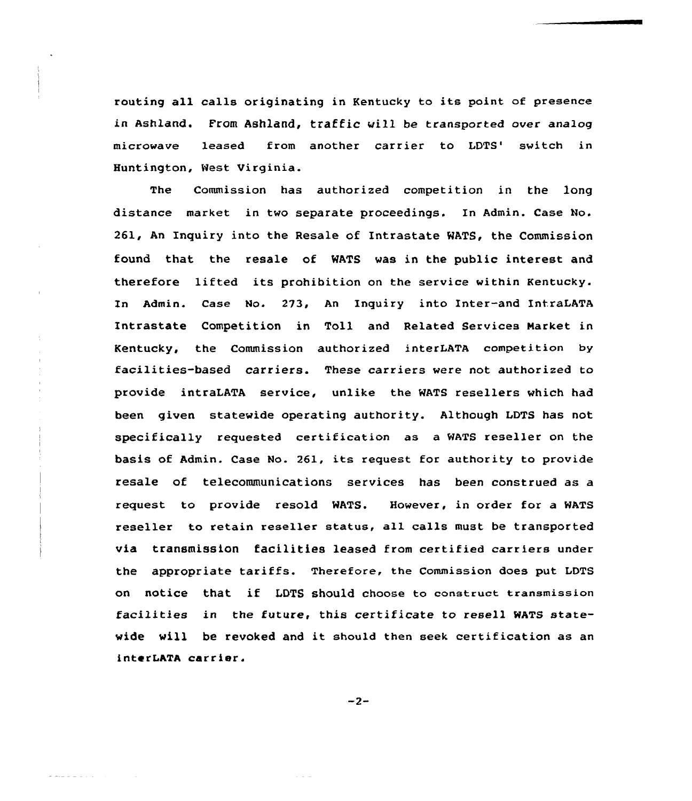routing all calls originating in Kentucky to its point of presence in ashland. From Ashland, traffic vill be transported over analog microwave leased from another carrier to LDTS' switch in Huntington, West Virginia.

The Commission has authorized competition in the long distance market in two separate proceedings. In Admin. Case No. 261, An Inquiry into the Resale of Intrastate MATS, the Commission found that the resale of MATS was in the public interest and therefore lifted its prohibition on the service within Kentucky. Xn Admin. Case No. 273, An Inquiry into Inter-and IntraLATA Intrastate Competition in Toll and Related Services Market in Kentucky, the Commission authorized interLATA competition by facilities-based carriers. These carriers were not authorized to provide intraLATA service, unlike the WATS resellers which had been given statewide operating authority. Although LDTS has not specifically requested certification as a WATS reseller on the basis of Admin. Case No. 261, its request for authority to provide resale of telecommunications services has been construed as a request to provide resold WATS. However, in order for a WATS reseller to retain reseller status, all calls must be transported via transmission facilities leased from certified carriers under the appropriate tariffs. Therefore, the Commission does put LDTS on notice that if LDTS should choose to construct transmission facilities in the future, this certificate to resell WATS statewide will be revoked and it should then seek certification as an interLATA carrier.

 $-2-$ 

 $\lambda$  and  $\lambda$  and  $\lambda$  and  $\lambda$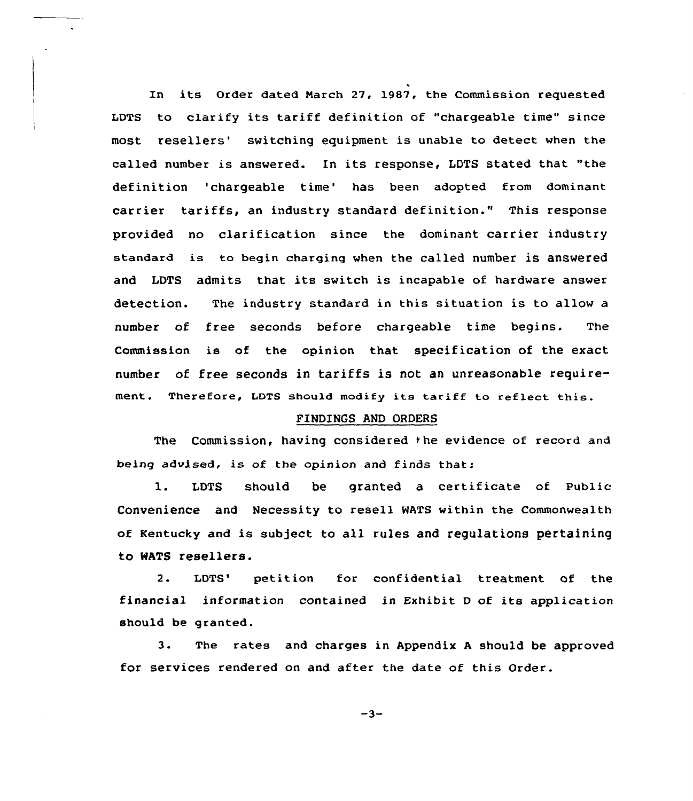In its Order dated Narch 27, 1987, the Commission requested LDTS to clarify its tariff definition of "chargeable time" since most resellers' switching equipment is unable to detect when the called number is answered. In its response, LDTS stated that "the definition 'chargeable time' has been adopted from dominant carrier tariffs, an industry standard definition." This response provided no clarification since the dominant carrier industry standard is to begin charging when the called number is answered and LDTS admits that its switch is incapable of hardware answer detection. The industry standard in this situation is to allow a number of free seconds before chargeable time begins. The Commission is of the opinion that specification of the exact number of free seconds in tariffs is not an unreasonable requirement. Therefore, LOTS should modify its tariff to reflect this.

#### FINDINGS AND ORDERS

The Commission, having considered the evidence of record and being advised, is of the opinion and finds that:

l. LDTS should be granted <sup>a</sup> certificate of public Convenience and Necessity to resell MATS within the Commonwealth of Kentucky and is subject to all rules and regulations pertaining to MATS resellers.

2. LDTS' petition for confidential treatment of the financial information contained in Exhibit <sup>D</sup> of its application should be granted.

3. The rates and charges in Appendix <sup>A</sup> should be approved for services rendered on and after the date of this Order.

 $-3-$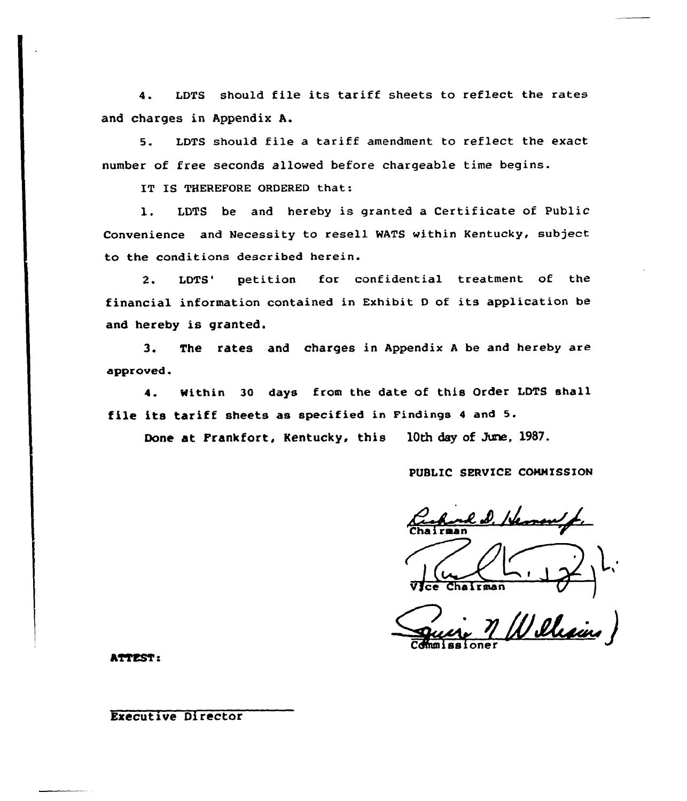4. LDTS should file its tariff sheets to reflect the rates and charges in Appendix A.

5. LDTS should file <sup>a</sup> tariff amendment to reflect the exact number of free seconds allowed before chargeable time begins.

IT IS THEREFORE ORDERED that:

l. LDTS be and hereby is granted <sup>a</sup> Certificate of Public Convenience and Necessity to resell MATS within Kentucky, subject to the conditions described herein.

2. LDTS' petition for confidential treatment of the financial information contained in Exhibit <sup>D</sup> of its application be and hereby is granted.

3. The rates and charges in Appendix <sup>A</sup> be and hereby are approved.

4. Within 30 days from the date of this Order LDTS shall file its tariff sheets as specified in Findings <sup>4</sup> and 5.

Done at Frankfort, Kentucky, this 10th day of June, 1987.

PUBLIC SERVICE COMMISSION

**Chairma** l.D. Herman f.

Chairman

~-' IJ/>==-) Commissione

**ATTEST:** 

Executive Director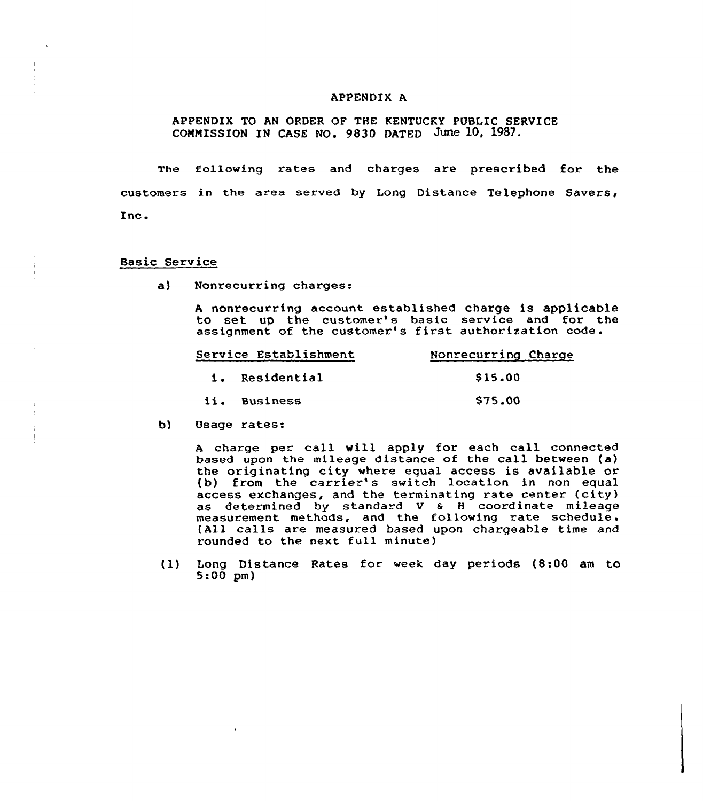#### APPENDIX A

# APPENDIX TO AN ORDER OF THE KENTUCKY PUBLIC SERVICE COMMISSION IN CASE NO. 9S30 DATED June 10. 1987.

The following rates and charges are prescribed for the customers in the area served by Long Distance Telephone Savers, Inc <sup>~</sup>

### Basic Service

a) Nonrecurring charges:

<sup>A</sup> nonrecurring account established charge is applicable to set up the customer's basic service and for the to set up the customer's basic service and for the customer's first authorization code.

| Service Establishment | Nonrecurring Charge |  |  |
|-----------------------|---------------------|--|--|
| i. Residential        | \$15.00             |  |  |
| ii. Business          | \$75.00             |  |  |

b) Usage rates:

<sup>A</sup> charge per call will apply for each call connected based upon the mileage distance of the call between (a) the originating city where equal access is available or (b) from the carrier's switch location in non equal access exchanges, and the terminating rate center (city) as determined by standard V & H coordinate mileag measurement methods, and the following rate schedule (All calls are measured based upon chargeable time and rounded to the next full minute)

(l) Long Distance Rates for week day periods (8:00 am to 5:00 pm)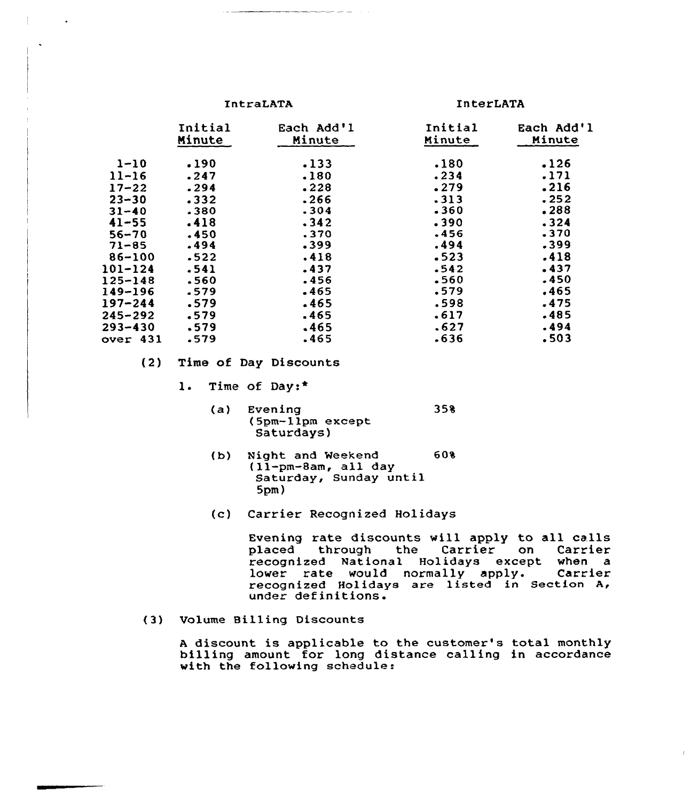#### IntraLATA InterLATA

|             | Initial<br>Minute | Each Add'l<br>Minute | Initial<br>Minute | Each Add'l<br>Minute |
|-------------|-------------------|----------------------|-------------------|----------------------|
| $1 - 10$    | .190              | .133                 | .180              | .126                 |
| $11 - 16$   | .247              | .180                 | .234              | .171                 |
| $17 - 22$   | .294              | .228                 | .279              | .216                 |
| $23 - 30$   | .332              | .266                 | .313              | .252                 |
| $31 - 40$   | .380              | .304                 | $-360$            | .288                 |
| $41 - 55$   | .418              | .342                 | .390              | .324                 |
| $56 - 70$   | .450              | .370                 | .456              | .370                 |
| $71 - 85$   | .494              | .399                 | .494              | .399                 |
| 86-100      | .522              | .418                 | .523              | .418                 |
| 101-124     | .541              | .437                 | .542              | .437                 |
| $125 - 148$ | .560              | .456                 | $-560$            | .450                 |
| 149-196     | -579              | .465                 | .579              | .465                 |
| 197–244     | .579              | .465                 | .598              | .475                 |
| 245–292     | .579              | .465                 | .617              | .485                 |
| 293-430     | .579              | .465                 | .627              | .494                 |
| over 431    | .579              | .465                 | .636              | .503                 |
|             |                   |                      |                   |                      |

- (2) Time of Day Discounts
	- 1. Time of Day:\*
		- (a) Evening (5pm-llpm except Saturdays) 35%
		- (b) Night and weekend (ll-pm-8am, all day Saturday, Sunday until 5pm) 60%
		- (c) Carrier Recognized Holidays

Evening rate discounts will apply to all calls<br>placed through the Carrier on Carrier placed through the Carrier on recognized National Holidays except when a<br>lower rate would normally apply. Carrier lower rate would normally apply. recognized Holidays are listed in Section A, under definitions.

(3) Volume Billing Discounts

<sup>A</sup> discount is applicable to the customer's total monthly billing amount for long distance calling in accordance with the following schedule: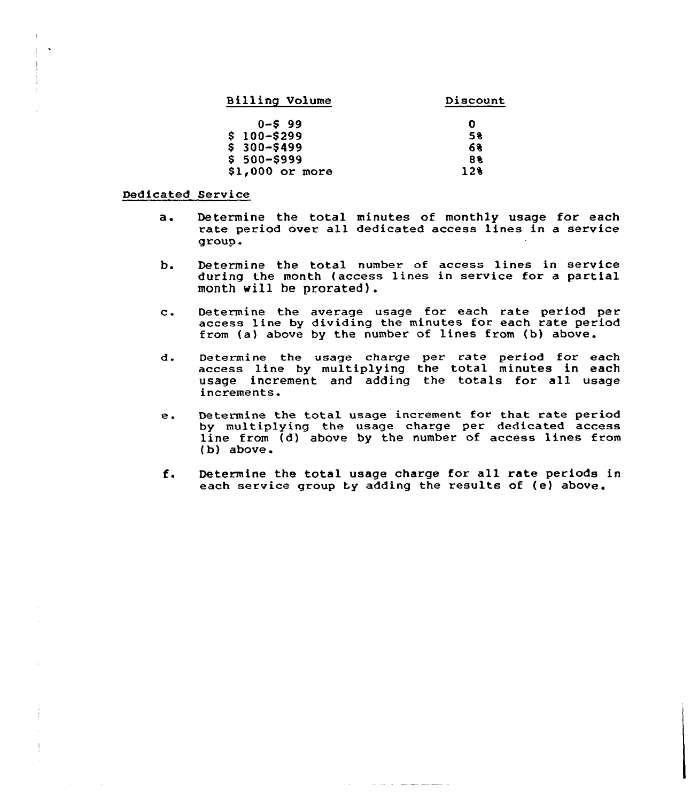| <b>Billing Volume</b> | Discount |  |  |
|-----------------------|----------|--|--|
| $0 - S$ 99            | O        |  |  |
| $$100 - $299$         | 58       |  |  |
| $$300 - $499$         | 68       |  |  |
| $$500 - $999$         | 88       |  |  |
| $$1,000$ or more      | 128      |  |  |

#### Dedicated Service

- a. Determine the total minutes of monthly usage for each rate period over all dedicated access lines in a service group.
- b. Determine the total number of access lines in service during the month (access lines in service for a partial month will be prorated).
- c. Determine the average usage for each rate period per access line by dividing the minutes for each rate period from (a) above by the number of lines from (b) above.
- d. Determine the usage charge per rate period for each betermine the usage thange per ruce period for each usage increment and adding the totals for all usage increments.
- Determine the total usage increment for that rate period e. by multiplying the usage charge per dedicated access line from (d) above by the number of access lines from (b) above.
- f. Determine the total usage charge for all rate periods in each service group ty adding the results of (e) above.

والمستوفين سيومين المحادث المداري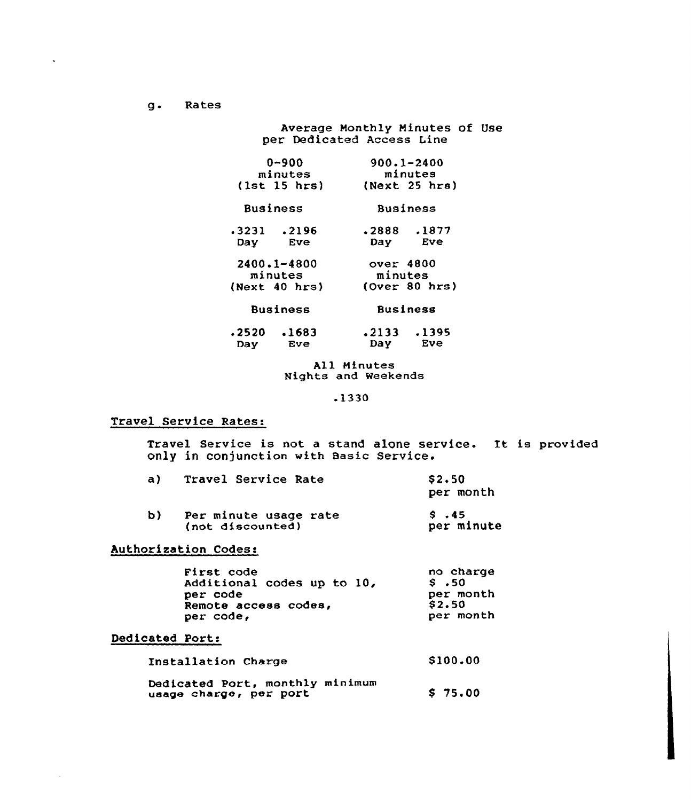g. Rates

 $\mathbf{A}$ 

Average Monthly Minutes of Use per Dedicated Access Line

| $0 - 900$       | $900.1 - 2400$  |  |  |  |
|-----------------|-----------------|--|--|--|
| minutes         | minutes         |  |  |  |
| (1st 15 hrs)    | (Next 25 hrs)   |  |  |  |
| <b>Business</b> | Business        |  |  |  |
| . 2196          | .2888           |  |  |  |
| 3231ء           | .1877           |  |  |  |
| Day             | Eve             |  |  |  |
| Eve             | Day             |  |  |  |
| $2400.1 - 4800$ | over 4800       |  |  |  |
| minutes         | minutes         |  |  |  |
| (Next 40 hrs)   | (Over 80 hrs)   |  |  |  |
| <b>Business</b> | <b>Business</b> |  |  |  |

<sup>~</sup> 2520 Day .1683 Eve <sup>~</sup> 2133 .1395 Day Eve

> All Minutes Nights and Weekends

> > .1330

# Travel Service Rates:

Travel Service is not <sup>a</sup> stand alone service. It is provided only in conjunction with Basic Service.

\$ 75.00

| a) | Travel Service Rate                       | \$2.50<br>per month        |
|----|-------------------------------------------|----------------------------|
| b) | Per minute usage rate<br>(not discounted) | $S \cdot 45$<br>per minute |

# Authorization Codes:

uaage charge, per port

| First code                 | no charge |
|----------------------------|-----------|
| Additional codes up to 10, | $s$ ,50   |
| per code                   | per month |
| Remote access codes,       | \$2.50    |
| per code,                  | per month |

# Dedicated Ports

 $\sim$ 

| Installation Charge             | \$100.00 |
|---------------------------------|----------|
| Dedicated Port, monthly minimum |          |